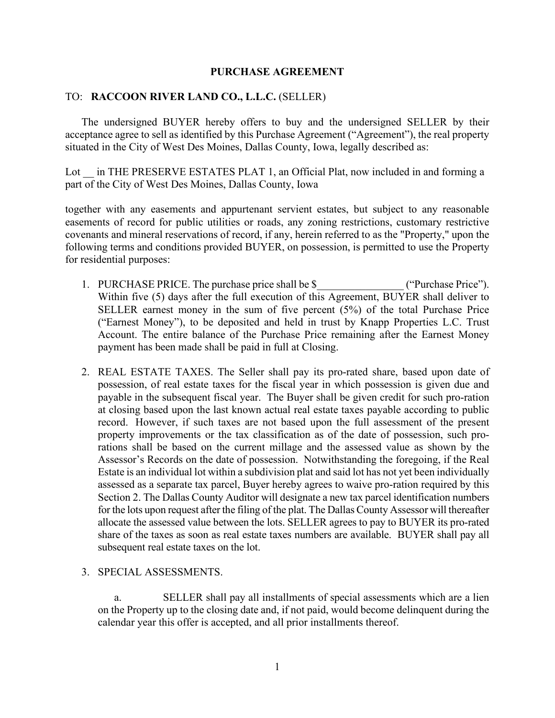## **PURCHASE AGREEMENT**

## TO: **RACCOON RIVER LAND CO., L.L.C.** (SELLER)

The undersigned BUYER hereby offers to buy and the undersigned SELLER by their acceptance agree to sell as identified by this Purchase Agreement ("Agreement"), the real property situated in the City of West Des Moines, Dallas County, Iowa, legally described as:

Lot in THE PRESERVE ESTATES PLAT 1, an Official Plat, now included in and forming a part of the City of West Des Moines, Dallas County, Iowa

together with any easements and appurtenant servient estates, but subject to any reasonable easements of record for public utilities or roads, any zoning restrictions, customary restrictive covenants and mineral reservations of record, if any, herein referred to as the "Property," upon the following terms and conditions provided BUYER, on possession, is permitted to use the Property for residential purposes:

- 1. PURCHASE PRICE. The purchase price shall be \$  $($ "Purchase Price"). Within five (5) days after the full execution of this Agreement, BUYER shall deliver to SELLER earnest money in the sum of five percent (5%) of the total Purchase Price ("Earnest Money"), to be deposited and held in trust by Knapp Properties L.C. Trust Account. The entire balance of the Purchase Price remaining after the Earnest Money payment has been made shall be paid in full at Closing.
- 2. REAL ESTATE TAXES. The Seller shall pay its pro-rated share, based upon date of possession, of real estate taxes for the fiscal year in which possession is given due and payable in the subsequent fiscal year. The Buyer shall be given credit for such pro-ration at closing based upon the last known actual real estate taxes payable according to public record. However, if such taxes are not based upon the full assessment of the present property improvements or the tax classification as of the date of possession, such prorations shall be based on the current millage and the assessed value as shown by the Assessor's Records on the date of possession. Notwithstanding the foregoing, if the Real Estate is an individual lot within a subdivision plat and said lot has not yet been individually assessed as a separate tax parcel, Buyer hereby agrees to waive pro-ration required by this Section 2. The Dallas County Auditor will designate a new tax parcel identification numbers for the lots upon request after the filing of the plat. The Dallas County Assessor will thereafter allocate the assessed value between the lots. SELLER agrees to pay to BUYER its pro-rated share of the taxes as soon as real estate taxes numbers are available. BUYER shall pay all subsequent real estate taxes on the lot.

#### 3. SPECIAL ASSESSMENTS.

a. SELLER shall pay all installments of special assessments which are a lien on the Property up to the closing date and, if not paid, would become delinquent during the calendar year this offer is accepted, and all prior installments thereof.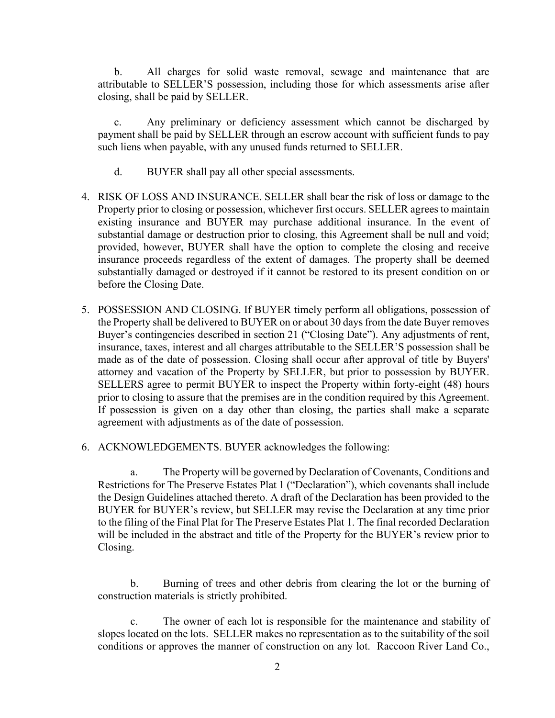b. All charges for solid waste removal, sewage and maintenance that are attributable to SELLER'S possession, including those for which assessments arise after closing, shall be paid by SELLER.

c. Any preliminary or deficiency assessment which cannot be discharged by payment shall be paid by SELLER through an escrow account with sufficient funds to pay such liens when payable, with any unused funds returned to SELLER.

- d. BUYER shall pay all other special assessments.
- 4. RISK OF LOSS AND INSURANCE. SELLER shall bear the risk of loss or damage to the Property prior to closing or possession, whichever first occurs. SELLER agrees to maintain existing insurance and BUYER may purchase additional insurance. In the event of substantial damage or destruction prior to closing, this Agreement shall be null and void; provided, however, BUYER shall have the option to complete the closing and receive insurance proceeds regardless of the extent of damages. The property shall be deemed substantially damaged or destroyed if it cannot be restored to its present condition on or before the Closing Date.
- 5. POSSESSION AND CLOSING. If BUYER timely perform all obligations, possession of the Property shall be delivered to BUYER on or about 30 days from the date Buyer removes Buyer's contingencies described in section 21 ("Closing Date"). Any adjustments of rent, insurance, taxes, interest and all charges attributable to the SELLER'S possession shall be made as of the date of possession. Closing shall occur after approval of title by Buyers' attorney and vacation of the Property by SELLER, but prior to possession by BUYER. SELLERS agree to permit BUYER to inspect the Property within forty-eight (48) hours prior to closing to assure that the premises are in the condition required by this Agreement. If possession is given on a day other than closing, the parties shall make a separate agreement with adjustments as of the date of possession.
- 6. ACKNOWLEDGEMENTS. BUYER acknowledges the following:

a. The Property will be governed by Declaration of Covenants, Conditions and Restrictions for The Preserve Estates Plat 1 ("Declaration"), which covenants shall include the Design Guidelines attached thereto. A draft of the Declaration has been provided to the BUYER for BUYER's review, but SELLER may revise the Declaration at any time prior to the filing of the Final Plat for The Preserve Estates Plat 1. The final recorded Declaration will be included in the abstract and title of the Property for the BUYER's review prior to Closing.

b. Burning of trees and other debris from clearing the lot or the burning of construction materials is strictly prohibited.

c. The owner of each lot is responsible for the maintenance and stability of slopes located on the lots. SELLER makes no representation as to the suitability of the soil conditions or approves the manner of construction on any lot. Raccoon River Land Co.,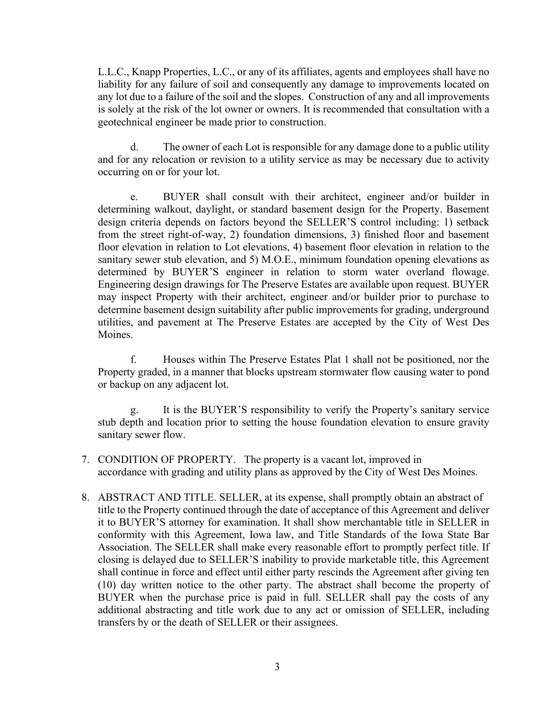L.L.C., Knapp Properties, L.C., or any of its affiliates, agents and employees shall have no liability for any failure of soil and consequently any damage to improvements located on any lot due to a failure of the soil and the slopes. Construction of any and all improvements is solely at the risk of the lot owner or owners. It is recommended that consultation with a geotechnical engineer be made prior to construction.

d. The owner of each Lot is responsible for any damage done to a public utility and for any relocation or revision to a utility service as may be necessary due to activity occurring on or for your lot.

e. BUYER shall consult with their architect, engineer and/or builder in determining walkout, daylight, or standard basement design for the Property. Basement design criteria depends on factors beyond the SELLER'S control including: 1) setback from the street right-of-way, 2) foundation dimensions, 3) finished floor and basement floor elevation in relation to Lot elevations, 4) basement floor elevation in relation to the sanitary sewer stub elevation, and 5) M.O.E., minimum foundation opening elevations as determined by BUYER'S engineer in relation to storm water overland flowage. Engineering design drawings for The Preserve Estates are available upon request. BUYER may inspect Property with their architect, engineer and/or builder prior to purchase to determine basement design suitability after public improvements for grading, underground utilities, and pavement at The Preserve Estates are accepted by the City of West Des Moines.

f. Houses within The Preserve Estates Plat 1 shall not be positioned, nor the Property graded, in a manner that blocks upstream stormwater flow causing water to pond or backup on any adjacent lot.

g. It is the BUYER'S responsibility to verify the Property's sanitary service stub depth and location prior to setting the house foundation elevation to ensure gravity sanitary sewer flow.

- 7. CONDITION OF PROPERTY. The property is a vacant lot, improved in accordance with grading and utility plans as approved by the City of West Des Moines.
- 8. ABSTRACT AND TITLE. SELLER, at its expense, shall promptly obtain an abstract of title to the Property continued through the date of acceptance of this Agreement and deliver it to BUYER'S attorney for examination. It shall show merchantable title in SELLER in conformity with this Agreement, Iowa law, and Title Standards of the Iowa State Bar Association. The SELLER shall make every reasonable effort to promptly perfect title. If closing is delayed due to SELLER'S inability to provide marketable title, this Agreement shall continue in force and effect until either party rescinds the Agreement after giving ten (10) day written notice to the other party. The abstract shall become the property of BUYER when the purchase price is paid in full. SELLER shall pay the costs of any additional abstracting and title work due to any act or omission of SELLER, including transfers by or the death of SELLER or their assignees.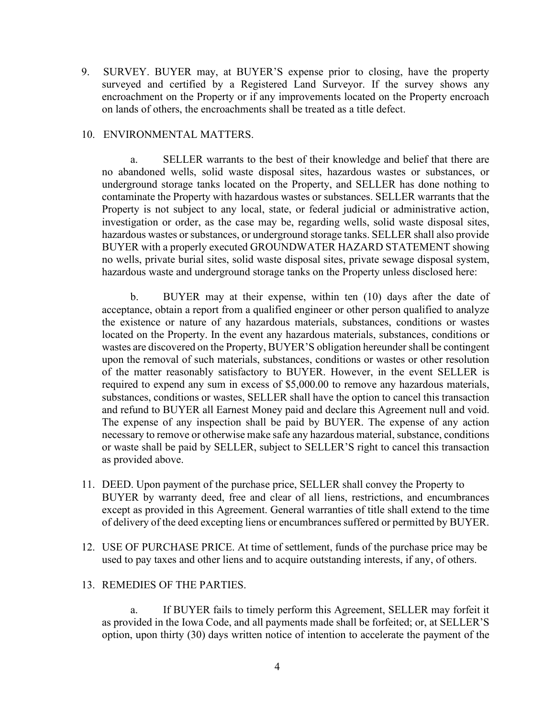9. SURVEY. BUYER may, at BUYER'S expense prior to closing, have the property surveyed and certified by a Registered Land Surveyor. If the survey shows any encroachment on the Property or if any improvements located on the Property encroach on lands of others, the encroachments shall be treated as a title defect.

## 10. ENVIRONMENTAL MATTERS.

a. SELLER warrants to the best of their knowledge and belief that there are no abandoned wells, solid waste disposal sites, hazardous wastes or substances, or underground storage tanks located on the Property, and SELLER has done nothing to contaminate the Property with hazardous wastes or substances. SELLER warrants that the Property is not subject to any local, state, or federal judicial or administrative action, investigation or order, as the case may be, regarding wells, solid waste disposal sites, hazardous wastes or substances, or underground storage tanks. SELLER shall also provide BUYER with a properly executed GROUNDWATER HAZARD STATEMENT showing no wells, private burial sites, solid waste disposal sites, private sewage disposal system, hazardous waste and underground storage tanks on the Property unless disclosed here:

b. BUYER may at their expense, within ten (10) days after the date of acceptance, obtain a report from a qualified engineer or other person qualified to analyze the existence or nature of any hazardous materials, substances, conditions or wastes located on the Property. In the event any hazardous materials, substances, conditions or wastes are discovered on the Property, BUYER'S obligation hereunder shall be contingent upon the removal of such materials, substances, conditions or wastes or other resolution of the matter reasonably satisfactory to BUYER. However, in the event SELLER is required to expend any sum in excess of \$5,000.00 to remove any hazardous materials, substances, conditions or wastes, SELLER shall have the option to cancel this transaction and refund to BUYER all Earnest Money paid and declare this Agreement null and void. The expense of any inspection shall be paid by BUYER. The expense of any action necessary to remove or otherwise make safe any hazardous material, substance, conditions or waste shall be paid by SELLER, subject to SELLER'S right to cancel this transaction as provided above.

- 11. DEED. Upon payment of the purchase price, SELLER shall convey the Property to BUYER by warranty deed, free and clear of all liens, restrictions, and encumbrances except as provided in this Agreement. General warranties of title shall extend to the time of delivery of the deed excepting liens or encumbrances suffered or permitted by BUYER.
- 12. USE OF PURCHASE PRICE. At time of settlement, funds of the purchase price may be used to pay taxes and other liens and to acquire outstanding interests, if any, of others.

#### 13. REMEDIES OF THE PARTIES.

If BUYER fails to timely perform this Agreement, SELLER may forfeit it as provided in the Iowa Code, and all payments made shall be forfeited; or, at SELLER'S option, upon thirty (30) days written notice of intention to accelerate the payment of the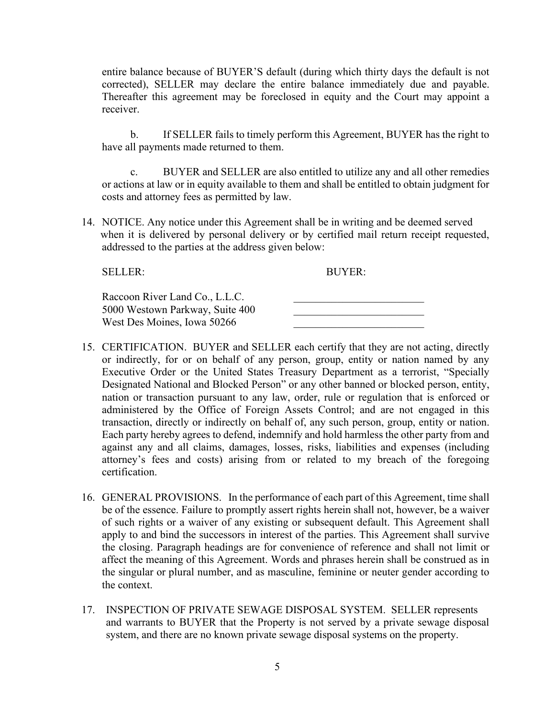entire balance because of BUYER'S default (during which thirty days the default is not corrected), SELLER may declare the entire balance immediately due and payable. Thereafter this agreement may be foreclosed in equity and the Court may appoint a receiver.

b. If SELLER fails to timely perform this Agreement, BUYER has the right to have all payments made returned to them.

c. BUYER and SELLER are also entitled to utilize any and all other remedies or actions at law or in equity available to them and shall be entitled to obtain judgment for costs and attorney fees as permitted by law.

14. NOTICE. Any notice under this Agreement shall be in writing and be deemed served when it is delivered by personal delivery or by certified mail return receipt requested, addressed to the parties at the address given below:

SELLER: BUYER:

| Raccoon River Land Co., L.L.C.  |  |
|---------------------------------|--|
| 5000 Westown Parkway, Suite 400 |  |
| West Des Moines, Iowa 50266     |  |

- 15. CERTIFICATION. BUYER and SELLER each certify that they are not acting, directly or indirectly, for or on behalf of any person, group, entity or nation named by any Executive Order or the United States Treasury Department as a terrorist, "Specially Designated National and Blocked Person" or any other banned or blocked person, entity, nation or transaction pursuant to any law, order, rule or regulation that is enforced or administered by the Office of Foreign Assets Control; and are not engaged in this transaction, directly or indirectly on behalf of, any such person, group, entity or nation. Each party hereby agrees to defend, indemnify and hold harmless the other party from and against any and all claims, damages, losses, risks, liabilities and expenses (including attorney's fees and costs) arising from or related to my breach of the foregoing certification.
- 16. GENERAL PROVISIONS. In the performance of each part of this Agreement, time shall be of the essence. Failure to promptly assert rights herein shall not, however, be a waiver of such rights or a waiver of any existing or subsequent default. This Agreement shall apply to and bind the successors in interest of the parties. This Agreement shall survive the closing. Paragraph headings are for convenience of reference and shall not limit or affect the meaning of this Agreement. Words and phrases herein shall be construed as in the singular or plural number, and as masculine, feminine or neuter gender according to the context.
- 17. INSPECTION OF PRIVATE SEWAGE DISPOSAL SYSTEM. SELLER represents and warrants to BUYER that the Property is not served by a private sewage disposal system, and there are no known private sewage disposal systems on the property.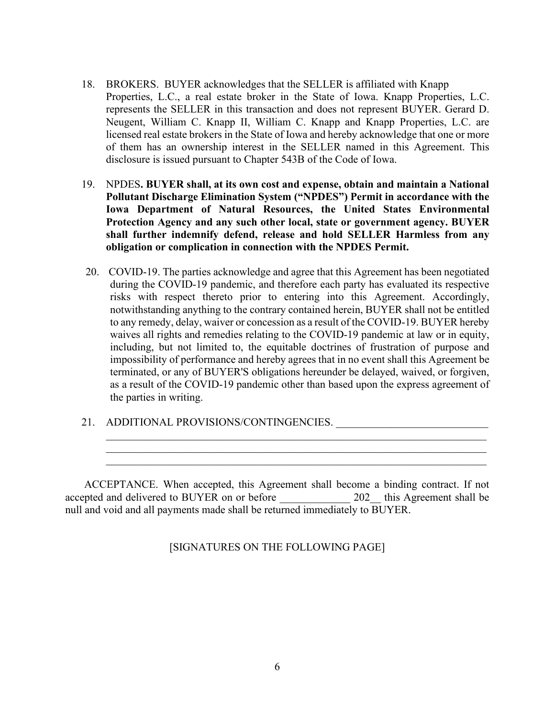- 18. BROKERS. BUYER acknowledges that the SELLER is affiliated with Knapp Properties, L.C., a real estate broker in the State of Iowa. Knapp Properties, L.C. represents the SELLER in this transaction and does not represent BUYER. Gerard D. Neugent, William C. Knapp II, William C. Knapp and Knapp Properties, L.C. are licensed real estate brokers in the State of Iowa and hereby acknowledge that one or more of them has an ownership interest in the SELLER named in this Agreement. This disclosure is issued pursuant to Chapter 543B of the Code of Iowa.
- 19. NPDES**. BUYER shall, at its own cost and expense, obtain and maintain a National Pollutant Discharge Elimination System ("NPDES") Permit in accordance with the Iowa Department of Natural Resources, the United States Environmental Protection Agency and any such other local, state or government agency. BUYER shall further indemnify defend, release and hold SELLER Harmless from any obligation or complication in connection with the NPDES Permit.**
- 20. COVID-19. The parties acknowledge and agree that this Agreement has been negotiated during the COVID-19 pandemic, and therefore each party has evaluated its respective risks with respect thereto prior to entering into this Agreement. Accordingly, notwithstanding anything to the contrary contained herein, BUYER shall not be entitled to any remedy, delay, waiver or concession as a result of the COVID-19. BUYER hereby waives all rights and remedies relating to the COVID-19 pandemic at law or in equity, including, but not limited to, the equitable doctrines of frustration of purpose and impossibility of performance and hereby agrees that in no event shall this Agreement be terminated, or any of BUYER'S obligations hereunder be delayed, waived, or forgiven, as a result of the COVID-19 pandemic other than based upon the express agreement of the parties in writing.

\_\_\_\_\_\_\_\_\_\_\_\_\_\_\_\_\_\_\_\_\_\_\_\_\_\_\_\_\_\_\_\_\_\_\_\_\_\_\_\_\_\_\_\_\_\_\_\_\_\_\_\_\_\_\_\_\_\_\_\_\_\_\_\_\_\_\_\_\_\_ \_\_\_\_\_\_\_\_\_\_\_\_\_\_\_\_\_\_\_\_\_\_\_\_\_\_\_\_\_\_\_\_\_\_\_\_\_\_\_\_\_\_\_\_\_\_\_\_\_\_\_\_\_\_\_\_\_\_\_\_\_\_\_\_\_\_\_\_\_\_  $\mathcal{L}_\mathcal{L} = \mathcal{L}_\mathcal{L} = \mathcal{L}_\mathcal{L} = \mathcal{L}_\mathcal{L} = \mathcal{L}_\mathcal{L} = \mathcal{L}_\mathcal{L} = \mathcal{L}_\mathcal{L} = \mathcal{L}_\mathcal{L} = \mathcal{L}_\mathcal{L} = \mathcal{L}_\mathcal{L} = \mathcal{L}_\mathcal{L} = \mathcal{L}_\mathcal{L} = \mathcal{L}_\mathcal{L} = \mathcal{L}_\mathcal{L} = \mathcal{L}_\mathcal{L} = \mathcal{L}_\mathcal{L} = \mathcal{L}_\mathcal{L}$ 

21. ADDITIONAL PROVISIONS/CONTINGENCIES. \_\_\_\_\_\_\_\_\_\_\_\_\_\_\_\_\_\_\_\_\_\_\_\_\_\_\_\_

ACCEPTANCE. When accepted, this Agreement shall become a binding contract. If not accepted and delivered to BUYER on or before  $202$  this Agreement shall be null and void and all payments made shall be returned immediately to BUYER.

[SIGNATURES ON THE FOLLOWING PAGE]